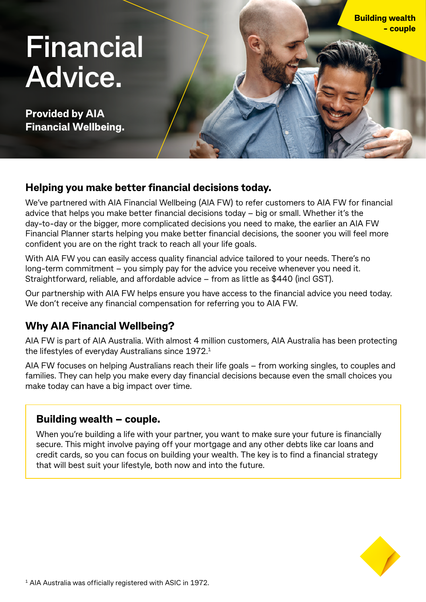# **Financial Advice.**

**Provided by AIA Financial Wellbeing.**

## **Helping you make better financial decisions today.**

We've partnered with AIA Financial Wellbeing (AIA FW) to refer customers to AIA FW for financial advice that helps you make better financial decisions today – big or small. Whether it's the day-to-day or the bigger, more complicated decisions you need to make, the earlier an AIA FW Financial Planner starts helping you make better financial decisions, the sooner you will feel more confident you are on the right track to reach all your life goals.

With AIA FW you can easily access quality financial advice tailored to your needs. There's no long-term commitment – you simply pay for the advice you receive whenever you need it. Straightforward, reliable, and affordable advice – from as little as \$440 (incl GST).

Our partnership with AIA FW helps ensure you have access to the financial advice you need today. We don't receive any financial compensation for referring you to AIA FW.

# **Why AIA Financial Wellbeing?**

AIA FW is part of AIA Australia. With almost 4 million customers, AIA Australia has been protecting the lifestyles of everyday Australians since 1972.1

AIA FW focuses on helping Australians reach their life goals – from working singles, to couples and families. They can help you make every day financial decisions because even the small choices you make today can have a big impact over time.

## **Building wealth – couple.**

When you're building a life with your partner, you want to make sure your future is financially secure. This might involve paying off your mortgage and any other debts like car loans and credit cards, so you can focus on building your wealth. The key is to find a financial strategy that will best suit your lifestyle, both now and into the future.



**Building wealth** 

**- couple**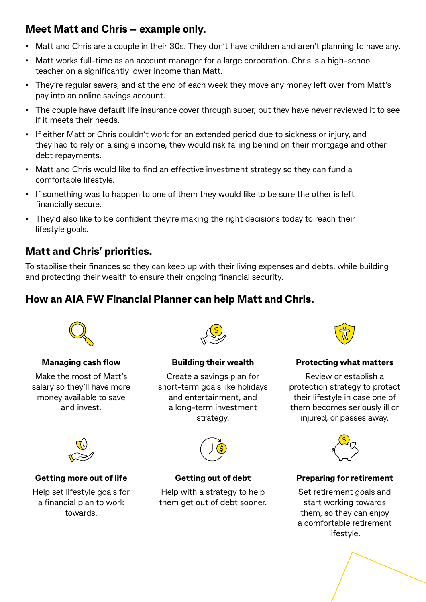# **Meet Matt and Chris – example only.**

- Matt and Chris are a couple in their 30s. They don't have children and aren't planning to have any.
- Matt works full-time as an account manager for a large corporation. Chris is a high-school teacher on a significantly lower income than Matt.
- They're regular savers, and at the end of each week they move any money left over from Matt's pay into an online savings account.
- The couple have default life insurance cover through super, but they have never reviewed it to see if it meets their needs.
- If either Matt or Chris couldn't work for an extended period due to sickness or injury, and they had to rely on a single income, they would risk falling behind on their mortgage and other debt repayments.
- Matt and Chris would like to find an effective investment strategy so they can fund a comfortable lifestyle.
- If something was to happen to one of them they would like to be sure the other is left financially secure.
- They'd also like to be confident they're making the right decisions today to reach their lifestyle goals.

## **Matt and Chris' priorities.**

To stabilise their finances so they can keep up with their living expenses and debts, while building and protecting their wealth to ensure their ongoing financial security.

## **How an AIA FW Financial Planner can help Matt and Chris.**



#### **Managing cash flow**

Make the most of Matt's salary so they'll have more money available to save and invest.



**Building their wealth**

Create a savings plan for short-term goals like holidays and entertainment, and a long-term investment strategy.



#### **Getting more out of life**

Help set lifestyle goals for a financial plan to work towards.



**Getting out of debt**

Help with a strategy to help them get out of debt sooner.



#### **Protecting what matters**

Review or establish a protection strategy to protect their lifestyle in case one of them becomes seriously ill or injured, or passes away.



#### **Preparing for retirement**

Set retirement goals and start working towards them, so they can enjoy a comfortable retirement lifestyle.